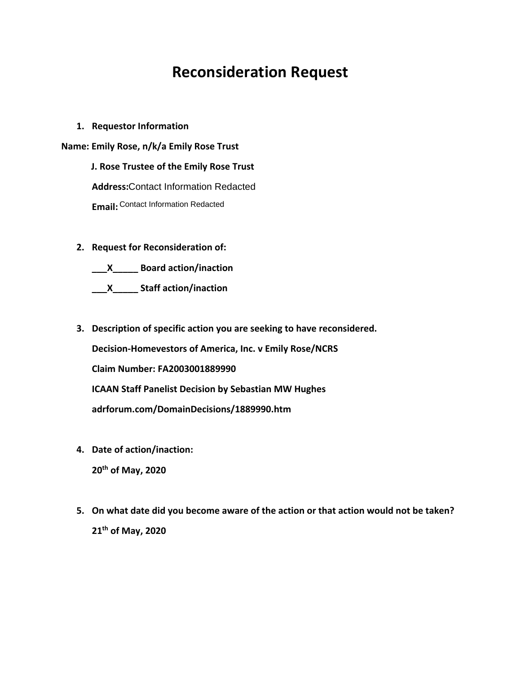# **Reconsideration Request**

**1. Requestor Information**

**Name: Emily Rose, n/k/a Emily Rose Trust**

 **J. Rose Trustee of the Emily Rose Trust** Address: Contact Information Redacted **Address:**Contact Information Redacted<br>E**mail:** <sup>Contact Information Redacted</sup>

**2. Request for Reconsideration of:**

**\_\_\_X\_\_\_\_\_ Board action/inaction**

**\_\_\_X\_\_\_\_\_ Staff action/inaction**

**3. Description of specific action you are seeking to have reconsidered.**

**Decision-Homevestors of America, Inc. v Emily Rose/NCRS**

**Claim Number: FA2003001889990**

**ICAAN Staff Panelist Decision by Sebastian MW Hughes**

**adrforum.com/DomainDecisions/1889990.htm**

- **4. Date of action/inaction: 20th of May, 2020**
- **5. On what date did you become aware of the action or that action would not be taken? 21th of May, 2020**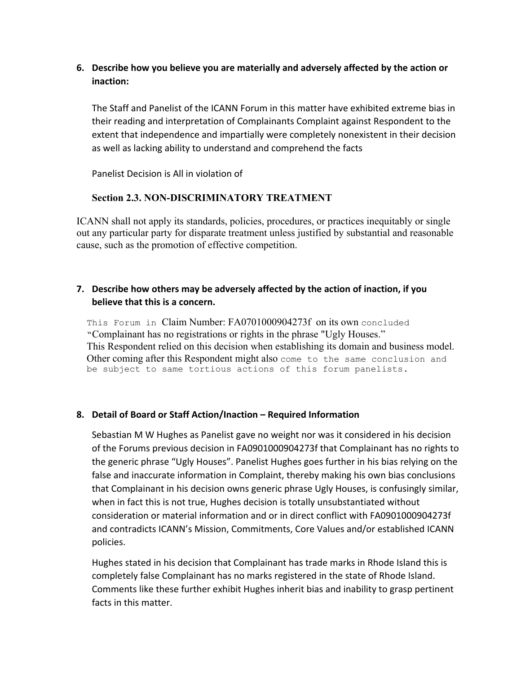# **6. Describe how you believe you are materially and adversely affected by the action or inaction:**

The Staff and Panelist of the ICANN Forum in this matter have exhibited extreme bias in their reading and interpretation of Complainants Complaint against Respondent to the extent that independence and impartially were completely nonexistent in their decision as well as lacking ability to understand and comprehend the facts

Panelist Decision is All in violation of

#### **Section 2.3. NON-DISCRIMINATORY TREATMENT**

ICANN shall not apply its standards, policies, procedures, or practices inequitably or single out any particular party for disparate treatment unless justified by substantial and reasonable cause, such as the promotion of effective competition.

# **7. Describe how others may be adversely affected by the action of inaction, if you believe that this is a concern.**

This Forum in Claim Number: FA0701000904273f on its own concluded "Complainant has no registrations or rights in the phrase "Ugly Houses." This Respondent relied on this decision when establishing its domain and business model. Other coming after this Respondent might also come to the same conclusion and be subject to same tortious actions of this forum panelists.

#### **8. Detail of Board or Staff Action/Inaction – Required Information**

Sebastian M W Hughes as Panelist gave no weight nor was it considered in his decision of the Forums previous decision in FA0901000904273f that Complainant has no rights to the generic phrase "Ugly Houses". Panelist Hughes goes further in his bias relying on the false and inaccurate information in Complaint, thereby making his own bias conclusions that Complainant in his decision owns generic phrase Ugly Houses, is confusingly similar, when in fact this is not true, Hughes decision is totally unsubstantiated without consideration or material information and or in direct conflict with FA0901000904273f and contradicts ICANN's Mission, Commitments, Core Values and/or established ICANN policies.

Hughes stated in his decision that Complainant has trade marks in Rhode Island this is completely false Complainant has no marks registered in the state of Rhode Island. Comments like these further exhibit Hughes inherit bias and inability to grasp pertinent facts in this matter.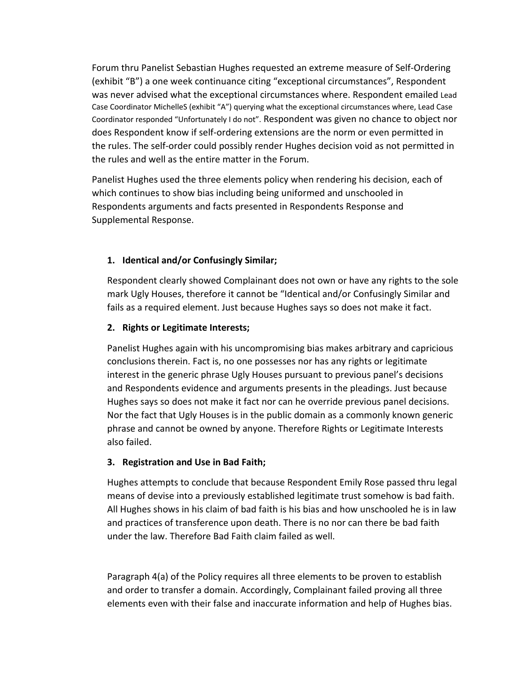Forum thru Panelist Sebastian Hughes requested an extreme measure of Self-Ordering (exhibit "B") a one week continuance citing "exceptional circumstances", Respondent was never advised what the exceptional circumstances where. Respondent emailed Lead Case Coordinator MichelleS (exhibit "A") querying what the exceptional circumstances where, Lead Case Coordinator responded "Unfortunately I do not". Respondent was given no chance to object nor does Respondent know if self-ordering extensions are the norm or even permitted in the rules. The self-order could possibly render Hughes decision void as not permitted in the rules and well as the entire matter in the Forum.

Panelist Hughes used the three elements policy when rendering his decision, each of which continues to show bias including being uniformed and unschooled in Respondents arguments and facts presented in Respondents Response and Supplemental Response.

# **1. Identical and/or Confusingly Similar;**

Respondent clearly showed Complainant does not own or have any rights to the sole mark Ugly Houses, therefore it cannot be "Identical and/or Confusingly Similar and fails as a required element. Just because Hughes says so does not make it fact.

#### **2. Rights or Legitimate Interests;**

Panelist Hughes again with his uncompromising bias makes arbitrary and capricious conclusions therein. Fact is, no one possesses nor has any rights or legitimate interest in the generic phrase Ugly Houses pursuant to previous panel's decisions and Respondents evidence and arguments presents in the pleadings. Just because Hughes says so does not make it fact nor can he override previous panel decisions. Nor the fact that Ugly Houses is in the public domain as a commonly known generic phrase and cannot be owned by anyone. Therefore Rights or Legitimate Interests also failed.

#### **3. Registration and Use in Bad Faith;**

Hughes attempts to conclude that because Respondent Emily Rose passed thru legal means of devise into a previously established legitimate trust somehow is bad faith. All Hughes shows in his claim of bad faith is his bias and how unschooled he is in law and practices of transference upon death. There is no nor can there be bad faith under the law. Therefore Bad Faith claim failed as well.

Paragraph 4(a) of the Policy requires all three elements to be proven to establish and order to transfer a domain. Accordingly, Complainant failed proving all three elements even with their false and inaccurate information and help of Hughes bias.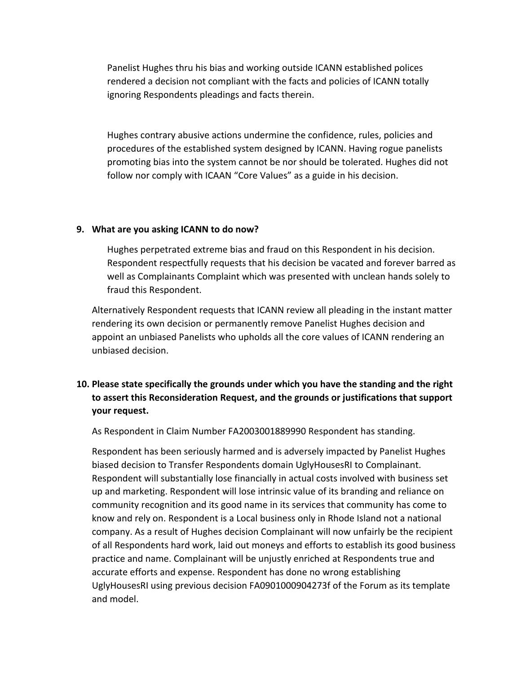Panelist Hughes thru his bias and working outside ICANN established polices rendered a decision not compliant with the facts and policies of ICANN totally ignoring Respondents pleadings and facts therein.

Hughes contrary abusive actions undermine the confidence, rules, policies and procedures of the established system designed by ICANN. Having rogue panelists promoting bias into the system cannot be nor should be tolerated. Hughes did not follow nor comply with ICAAN "Core Values" as a guide in his decision.

#### **9. What are you asking ICANN to do now?**

Hughes perpetrated extreme bias and fraud on this Respondent in his decision. Respondent respectfully requests that his decision be vacated and forever barred as well as Complainants Complaint which was presented with unclean hands solely to fraud this Respondent.

Alternatively Respondent requests that ICANN review all pleading in the instant matter rendering its own decision or permanently remove Panelist Hughes decision and appoint an unbiased Panelists who upholds all the core values of ICANN rendering an unbiased decision.

# **10. Please state specifically the grounds under which you have the standing and the right to assert this Reconsideration Request, and the grounds or justifications that support your request.**

As Respondent in Claim Number FA2003001889990 Respondent has standing.

Respondent has been seriously harmed and is adversely impacted by Panelist Hughes biased decision to Transfer Respondents domain UglyHousesRI to Complainant. Respondent will substantially lose financially in actual costs involved with business set up and marketing. Respondent will lose intrinsic value of its branding and reliance on community recognition and its good name in its services that community has come to know and rely on. Respondent is a Local business only in Rhode Island not a national company. As a result of Hughes decision Complainant will now unfairly be the recipient of all Respondents hard work, laid out moneys and efforts to establish its good business practice and name. Complainant will be unjustly enriched at Respondents true and accurate efforts and expense. Respondent has done no wrong establishing UglyHousesRI using previous decision FA0901000904273f of the Forum as its template and model.